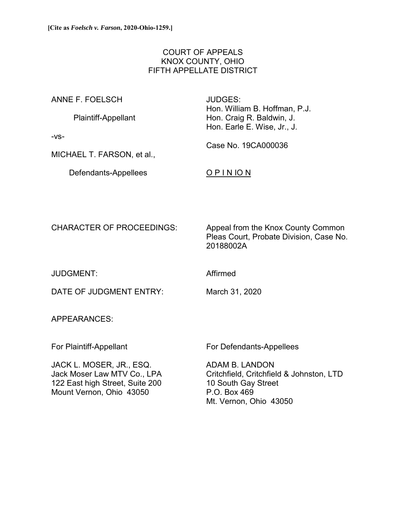# COURT OF APPEALS KNOX COUNTY, OHIO FIFTH APPELLATE DISTRICT

ANNE F. FOELSCH JUDGES:

 Hon. William B. Hoffman, P.J. Plaintiff-Appellant Hon. Craig R. Baldwin, J. Hon. Earle E. Wise, Jr., J.

Case No. 19CA000036

-vs-

MICHAEL T. FARSON, et al.,

Defendants-Appellees **O P I N IO N** 

CHARACTER OF PROCEEDINGS: Appeal from the Knox County Common Pleas Court, Probate Division, Case No. 20188002A

JUDGMENT: Affirmed

DATE OF JUDGMENT ENTRY: March 31, 2020

APPEARANCES:

JACK L. MOSER, JR., ESQ. ADAM B. LANDON 122 East high Street, Suite 200 10 South Gay Street Mount Vernon, Ohio 43050 P.O. Box 469

For Plaintiff-Appellant For Defendants-Appellees

Jack Moser Law MTV Co., LPA Critchfield, Critchfield & Johnston, LTD Mt. Vernon, Ohio 43050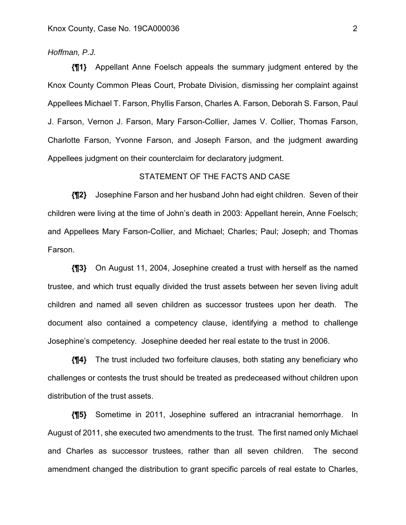## *Hoffman, P.J.*

**{¶1}** Appellant Anne Foelsch appeals the summary judgment entered by the Knox County Common Pleas Court, Probate Division, dismissing her complaint against Appellees Michael T. Farson, Phyllis Farson, Charles A. Farson, Deborah S. Farson, Paul J. Farson, Vernon J. Farson, Mary Farson-Collier, James V. Collier, Thomas Farson, Charlotte Farson, Yvonne Farson, and Joseph Farson, and the judgment awarding Appellees judgment on their counterclaim for declaratory judgment.

## STATEMENT OF THE FACTS AND CASE

**{¶2}** Josephine Farson and her husband John had eight children. Seven of their children were living at the time of John's death in 2003: Appellant herein, Anne Foelsch; and Appellees Mary Farson-Collier, and Michael; Charles; Paul; Joseph; and Thomas Farson.

**{¶3}** On August 11, 2004, Josephine created a trust with herself as the named trustee, and which trust equally divided the trust assets between her seven living adult children and named all seven children as successor trustees upon her death. The document also contained a competency clause, identifying a method to challenge Josephine's competency. Josephine deeded her real estate to the trust in 2006.

**{¶4}** The trust included two forfeiture clauses, both stating any beneficiary who challenges or contests the trust should be treated as predeceased without children upon distribution of the trust assets.

**{¶5}** Sometime in 2011, Josephine suffered an intracranial hemorrhage. In August of 2011, she executed two amendments to the trust. The first named only Michael and Charles as successor trustees, rather than all seven children. The second amendment changed the distribution to grant specific parcels of real estate to Charles,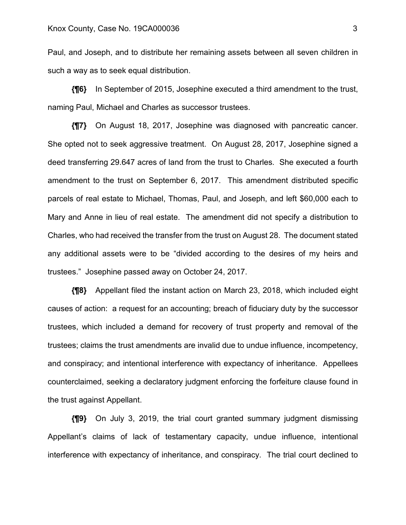Paul, and Joseph, and to distribute her remaining assets between all seven children in such a way as to seek equal distribution.

**{¶6}** In September of 2015, Josephine executed a third amendment to the trust, naming Paul, Michael and Charles as successor trustees.

**{¶7}** On August 18, 2017, Josephine was diagnosed with pancreatic cancer. She opted not to seek aggressive treatment. On August 28, 2017, Josephine signed a deed transferring 29.647 acres of land from the trust to Charles. She executed a fourth amendment to the trust on September 6, 2017. This amendment distributed specific parcels of real estate to Michael, Thomas, Paul, and Joseph, and left \$60,000 each to Mary and Anne in lieu of real estate. The amendment did not specify a distribution to Charles, who had received the transfer from the trust on August 28. The document stated any additional assets were to be "divided according to the desires of my heirs and trustees." Josephine passed away on October 24, 2017.

**{¶8}** Appellant filed the instant action on March 23, 2018, which included eight causes of action: a request for an accounting; breach of fiduciary duty by the successor trustees, which included a demand for recovery of trust property and removal of the trustees; claims the trust amendments are invalid due to undue influence, incompetency, and conspiracy; and intentional interference with expectancy of inheritance. Appellees counterclaimed, seeking a declaratory judgment enforcing the forfeiture clause found in the trust against Appellant.

**{¶9}** On July 3, 2019, the trial court granted summary judgment dismissing Appellant's claims of lack of testamentary capacity, undue influence, intentional interference with expectancy of inheritance, and conspiracy. The trial court declined to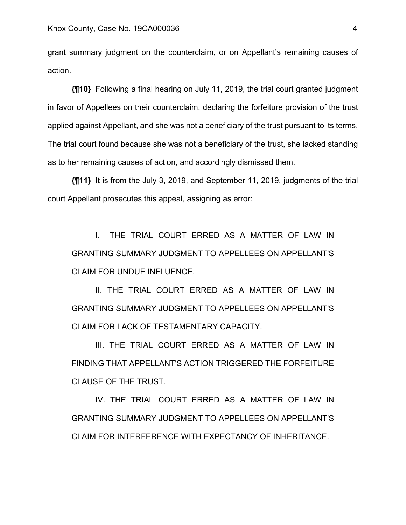grant summary judgment on the counterclaim, or on Appellant's remaining causes of action.

**{¶10}** Following a final hearing on July 11, 2019, the trial court granted judgment in favor of Appellees on their counterclaim, declaring the forfeiture provision of the trust applied against Appellant, and she was not a beneficiary of the trust pursuant to its terms. The trial court found because she was not a beneficiary of the trust, she lacked standing as to her remaining causes of action, and accordingly dismissed them.

**{¶11}** It is from the July 3, 2019, and September 11, 2019, judgments of the trial court Appellant prosecutes this appeal, assigning as error:

 I. THE TRIAL COURT ERRED AS A MATTER OF LAW IN GRANTING SUMMARY JUDGMENT TO APPELLEES ON APPELLANT'S CLAIM FOR UNDUE INFLUENCE.

 II. THE TRIAL COURT ERRED AS A MATTER OF LAW IN GRANTING SUMMARY JUDGMENT TO APPELLEES ON APPELLANT'S CLAIM FOR LACK OF TESTAMENTARY CAPACITY.

 III. THE TRIAL COURT ERRED AS A MATTER OF LAW IN FINDING THAT APPELLANT'S ACTION TRIGGERED THE FORFEITURE CLAUSE OF THE TRUST.

 IV. THE TRIAL COURT ERRED AS A MATTER OF LAW IN GRANTING SUMMARY JUDGMENT TO APPELLEES ON APPELLANT'S CLAIM FOR INTERFERENCE WITH EXPECTANCY OF INHERITANCE.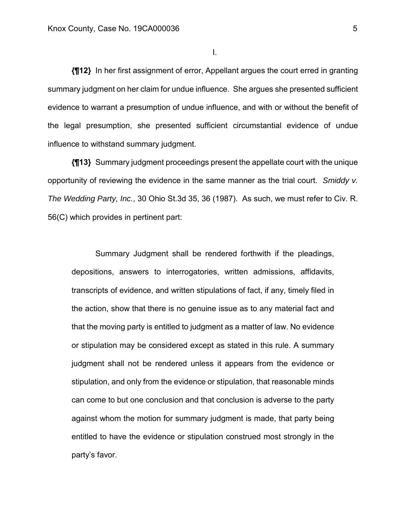I.

**{¶12}** In her first assignment of error, Appellant argues the court erred in granting summary judgment on her claim for undue influence. She argues she presented sufficient evidence to warrant a presumption of undue influence, and with or without the benefit of the legal presumption, she presented sufficient circumstantial evidence of undue influence to withstand summary judgment.

**{¶13}** Summary judgment proceedings present the appellate court with the unique opportunity of reviewing the evidence in the same manner as the trial court. *Smiddy v. The Wedding Party, Inc.*, 30 Ohio St.3d 35, 36 (1987). As such, we must refer to Civ. R. 56(C) which provides in pertinent part:

 Summary Judgment shall be rendered forthwith if the pleadings, depositions, answers to interrogatories, written admissions, affidavits, transcripts of evidence, and written stipulations of fact, if any, timely filed in the action, show that there is no genuine issue as to any material fact and that the moving party is entitled to judgment as a matter of law. No evidence or stipulation may be considered except as stated in this rule. A summary judgment shall not be rendered unless it appears from the evidence or stipulation, and only from the evidence or stipulation, that reasonable minds can come to but one conclusion and that conclusion is adverse to the party against whom the motion for summary judgment is made, that party being entitled to have the evidence or stipulation construed most strongly in the party's favor.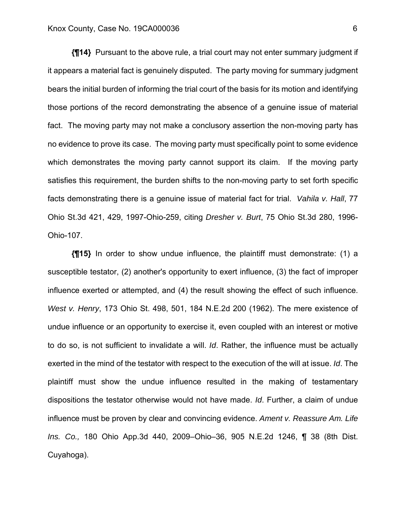**{¶14}** Pursuant to the above rule, a trial court may not enter summary judgment if it appears a material fact is genuinely disputed. The party moving for summary judgment bears the initial burden of informing the trial court of the basis for its motion and identifying those portions of the record demonstrating the absence of a genuine issue of material fact. The moving party may not make a conclusory assertion the non-moving party has no evidence to prove its case. The moving party must specifically point to some evidence which demonstrates the moving party cannot support its claim. If the moving party satisfies this requirement, the burden shifts to the non-moving party to set forth specific facts demonstrating there is a genuine issue of material fact for trial. *Vahila v. Hall*, 77 Ohio St.3d 421, 429, 1997-Ohio-259, citing *Dresher v. Burt*, 75 Ohio St.3d 280, 1996- Ohio-107.

**{¶15}** In order to show undue influence, the plaintiff must demonstrate: (1) a susceptible testator, (2) another's opportunity to exert influence, (3) the fact of improper influence exerted or attempted, and (4) the result showing the effect of such influence. *West v. Henry*, 173 Ohio St. 498, 501, 184 N.E.2d 200 (1962). The mere existence of undue influence or an opportunity to exercise it, even coupled with an interest or motive to do so, is not sufficient to invalidate a will. *Id*. Rather, the influence must be actually exerted in the mind of the testator with respect to the execution of the will at issue. *Id*. The plaintiff must show the undue influence resulted in the making of testamentary dispositions the testator otherwise would not have made. *Id*. Further, a claim of undue influence must be proven by clear and convincing evidence. *Ament v. Reassure Am. Life Ins. Co.,* 180 Ohio App.3d 440, 2009–Ohio–36, 905 N.E.2d 1246, ¶ 38 (8th Dist. Cuyahoga).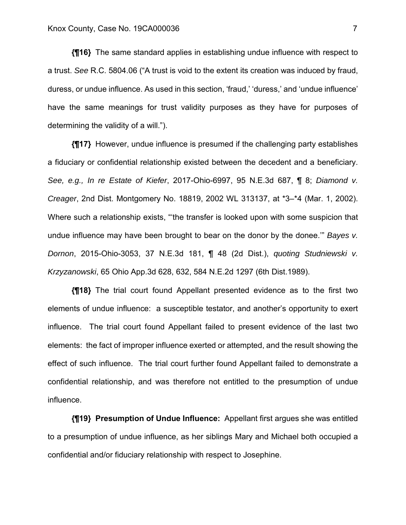**{¶16}** The same standard applies in establishing undue influence with respect to a trust. *See* R.C. 5804.06 ("A trust is void to the extent its creation was induced by fraud, duress, or undue influence. As used in this section, 'fraud,' 'duress,' and 'undue influence' have the same meanings for trust validity purposes as they have for purposes of determining the validity of a will.").

**{¶17}** However, undue influence is presumed if the challenging party establishes a fiduciary or confidential relationship existed between the decedent and a beneficiary. *See, e.g., In re Estate of Kiefer*, 2017-Ohio-6997, 95 N.E.3d 687, ¶ 8; *Diamond v. Creager*, 2nd Dist. Montgomery No. 18819, 2002 WL 313137, at \*3–\*4 (Mar. 1, 2002). Where such a relationship exists, "'the transfer is looked upon with some suspicion that undue influence may have been brought to bear on the donor by the donee.'" *Bayes v. Dornon*, 2015-Ohio-3053, 37 N.E.3d 181, ¶ 48 (2d Dist.), *quoting Studniewski v. Krzyzanowski*, 65 Ohio App.3d 628, 632, 584 N.E.2d 1297 (6th Dist.1989).

**{¶18}** The trial court found Appellant presented evidence as to the first two elements of undue influence: a susceptible testator, and another's opportunity to exert influence. The trial court found Appellant failed to present evidence of the last two elements: the fact of improper influence exerted or attempted, and the result showing the effect of such influence. The trial court further found Appellant failed to demonstrate a confidential relationship, and was therefore not entitled to the presumption of undue influence.

**{¶19} Presumption of Undue Influence:** Appellant first argues she was entitled to a presumption of undue influence, as her siblings Mary and Michael both occupied a confidential and/or fiduciary relationship with respect to Josephine.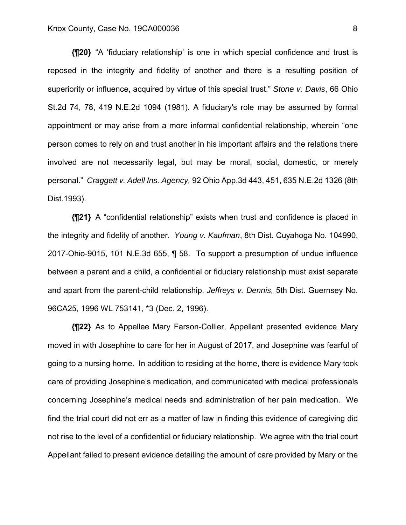#### Knox County, Case No. 19CA000036 8

**{¶20}** "A 'fiduciary relationship' is one in which special confidence and trust is reposed in the integrity and fidelity of another and there is a resulting position of superiority or influence, acquired by virtue of this special trust." *Stone v. Davis*, 66 Ohio St.2d 74, 78, 419 N.E.2d 1094 (1981). A fiduciary's role may be assumed by formal appointment or may arise from a more informal confidential relationship, wherein "one person comes to rely on and trust another in his important affairs and the relations there involved are not necessarily legal, but may be moral, social, domestic, or merely personal." *Craggett v. Adell Ins. Agency,* 92 Ohio App.3d 443, 451, 635 N.E.2d 1326 (8th Dist.1993).

**{¶21}** A "confidential relationship" exists when trust and confidence is placed in the integrity and fidelity of another. *Young v. Kaufman*, 8th Dist. Cuyahoga No. 104990, 2017-Ohio-9015, 101 N.E.3d 655, ¶ 58. To support a presumption of undue influence between a parent and a child, a confidential or fiduciary relationship must exist separate and apart from the parent-child relationship. *Jeffreys v. Dennis,* 5th Dist. Guernsey No. 96CA25, 1996 WL 753141, \*3 (Dec. 2, 1996).

**{¶22}** As to Appellee Mary Farson-Collier, Appellant presented evidence Mary moved in with Josephine to care for her in August of 2017, and Josephine was fearful of going to a nursing home. In addition to residing at the home, there is evidence Mary took care of providing Josephine's medication, and communicated with medical professionals concerning Josephine's medical needs and administration of her pain medication. We find the trial court did not err as a matter of law in finding this evidence of caregiving did not rise to the level of a confidential or fiduciary relationship. We agree with the trial court Appellant failed to present evidence detailing the amount of care provided by Mary or the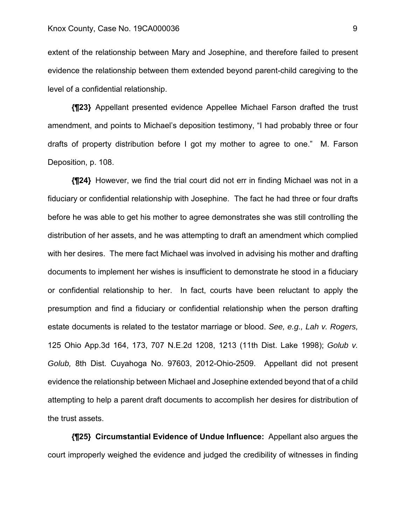extent of the relationship between Mary and Josephine, and therefore failed to present evidence the relationship between them extended beyond parent-child caregiving to the level of a confidential relationship.

**{¶23}** Appellant presented evidence Appellee Michael Farson drafted the trust amendment, and points to Michael's deposition testimony, "I had probably three or four drafts of property distribution before I got my mother to agree to one." M. Farson Deposition, p. 108.

**{¶24}** However, we find the trial court did not err in finding Michael was not in a fiduciary or confidential relationship with Josephine. The fact he had three or four drafts before he was able to get his mother to agree demonstrates she was still controlling the distribution of her assets, and he was attempting to draft an amendment which complied with her desires. The mere fact Michael was involved in advising his mother and drafting documents to implement her wishes is insufficient to demonstrate he stood in a fiduciary or confidential relationship to her. In fact, courts have been reluctant to apply the presumption and find a fiduciary or confidential relationship when the person drafting estate documents is related to the testator marriage or blood. *See, e.g., Lah v. Rogers,*  125 Ohio App.3d 164, 173, 707 N.E.2d 1208, 1213 (11th Dist. Lake 1998); *Golub v. Golub,* 8th Dist. Cuyahoga No. 97603, 2012-Ohio-2509. Appellant did not present evidence the relationship between Michael and Josephine extended beyond that of a child attempting to help a parent draft documents to accomplish her desires for distribution of the trust assets.

**{¶25} Circumstantial Evidence of Undue Influence:** Appellant also argues the court improperly weighed the evidence and judged the credibility of witnesses in finding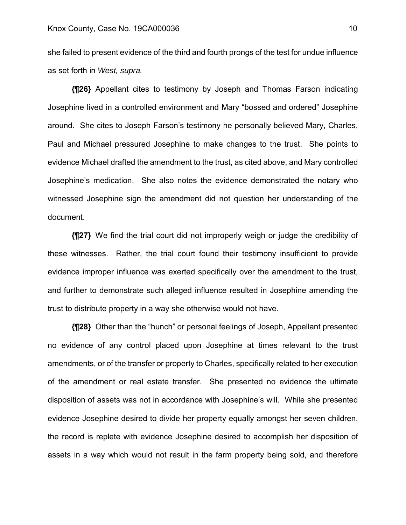she failed to present evidence of the third and fourth prongs of the test for undue influence as set forth in *West, supra.* 

**{¶26}** Appellant cites to testimony by Joseph and Thomas Farson indicating Josephine lived in a controlled environment and Mary "bossed and ordered" Josephine around. She cites to Joseph Farson's testimony he personally believed Mary, Charles, Paul and Michael pressured Josephine to make changes to the trust. She points to evidence Michael drafted the amendment to the trust, as cited above, and Mary controlled Josephine's medication. She also notes the evidence demonstrated the notary who witnessed Josephine sign the amendment did not question her understanding of the document.

**{¶27}** We find the trial court did not improperly weigh or judge the credibility of these witnesses. Rather, the trial court found their testimony insufficient to provide evidence improper influence was exerted specifically over the amendment to the trust, and further to demonstrate such alleged influence resulted in Josephine amending the trust to distribute property in a way she otherwise would not have.

**{¶28}** Other than the "hunch" or personal feelings of Joseph, Appellant presented no evidence of any control placed upon Josephine at times relevant to the trust amendments, or of the transfer or property to Charles, specifically related to her execution of the amendment or real estate transfer. She presented no evidence the ultimate disposition of assets was not in accordance with Josephine's will. While she presented evidence Josephine desired to divide her property equally amongst her seven children, the record is replete with evidence Josephine desired to accomplish her disposition of assets in a way which would not result in the farm property being sold, and therefore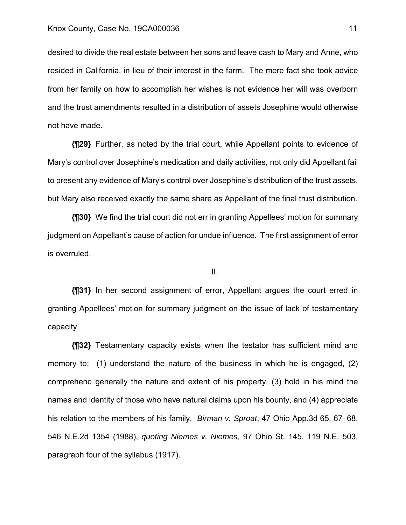desired to divide the real estate between her sons and leave cash to Mary and Anne, who resided in California, in lieu of their interest in the farm. The mere fact she took advice from her family on how to accomplish her wishes is not evidence her will was overborn and the trust amendments resulted in a distribution of assets Josephine would otherwise not have made.

**{¶29}** Further, as noted by the trial court, while Appellant points to evidence of Mary's control over Josephine's medication and daily activities, not only did Appellant fail to present any evidence of Mary's control over Josephine's distribution of the trust assets, but Mary also received exactly the same share as Appellant of the final trust distribution.

**{¶30}** We find the trial court did not err in granting Appellees' motion for summary judgment on Appellant's cause of action for undue influence. The first assignment of error is overruled.

II.

**{¶31}** In her second assignment of error, Appellant argues the court erred in granting Appellees' motion for summary judgment on the issue of lack of testamentary capacity.

**{¶32}** Testamentary capacity exists when the testator has sufficient mind and memory to: (1) understand the nature of the business in which he is engaged, (2) comprehend generally the nature and extent of his property, (3) hold in his mind the names and identity of those who have natural claims upon his bounty, and (4) appreciate his relation to the members of his family. *Birman v. Sproat*, 47 Ohio App.3d 65, 67–68, 546 N.E.2d 1354 (1988), *quoting Niemes v. Niemes*, 97 Ohio St. 145, 119 N.E. 503, paragraph four of the syllabus (1917).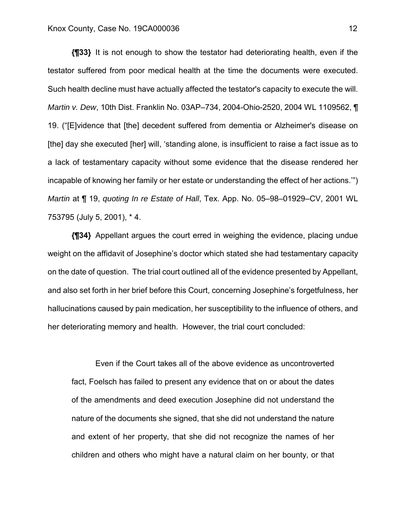**{¶33}** It is not enough to show the testator had deteriorating health, even if the testator suffered from poor medical health at the time the documents were executed. Such health decline must have actually affected the testator's capacity to execute the will. *Martin v. Dew*, 10th Dist. Franklin No. 03AP–734, 2004-Ohio-2520, 2004 WL 1109562, ¶ 19. ("[E]vidence that [the] decedent suffered from dementia or Alzheimer's disease on [the] day she executed [her] will, 'standing alone, is insufficient to raise a fact issue as to a lack of testamentary capacity without some evidence that the disease rendered her incapable of knowing her family or her estate or understanding the effect of her actions.'") *Martin* at ¶ 19, *quoting In re Estate of Hall*, Tex. App. No. 05–98–01929–CV, 2001 WL 753795 (July 5, 2001), \* 4.

**{¶34}** Appellant argues the court erred in weighing the evidence, placing undue weight on the affidavit of Josephine's doctor which stated she had testamentary capacity on the date of question. The trial court outlined all of the evidence presented by Appellant, and also set forth in her brief before this Court, concerning Josephine's forgetfulness, her hallucinations caused by pain medication, her susceptibility to the influence of others, and her deteriorating memory and health. However, the trial court concluded:

 Even if the Court takes all of the above evidence as uncontroverted fact, Foelsch has failed to present any evidence that on or about the dates of the amendments and deed execution Josephine did not understand the nature of the documents she signed, that she did not understand the nature and extent of her property, that she did not recognize the names of her children and others who might have a natural claim on her bounty, or that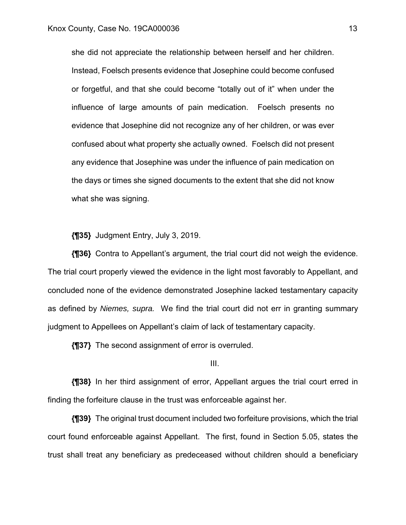she did not appreciate the relationship between herself and her children. Instead, Foelsch presents evidence that Josephine could become confused or forgetful, and that she could become "totally out of it" when under the influence of large amounts of pain medication. Foelsch presents no evidence that Josephine did not recognize any of her children, or was ever confused about what property she actually owned. Foelsch did not present any evidence that Josephine was under the influence of pain medication on the days or times she signed documents to the extent that she did not know what she was signing.

**{¶35}** Judgment Entry, July 3, 2019.

**{¶36}** Contra to Appellant's argument, the trial court did not weigh the evidence. The trial court properly viewed the evidence in the light most favorably to Appellant, and concluded none of the evidence demonstrated Josephine lacked testamentary capacity as defined by *Niemes, supra.* We find the trial court did not err in granting summary judgment to Appellees on Appellant's claim of lack of testamentary capacity.

**{¶37}** The second assignment of error is overruled.

### III.

**{¶38}** In her third assignment of error, Appellant argues the trial court erred in finding the forfeiture clause in the trust was enforceable against her.

**{¶39}** The original trust document included two forfeiture provisions, which the trial court found enforceable against Appellant. The first, found in Section 5.05, states the trust shall treat any beneficiary as predeceased without children should a beneficiary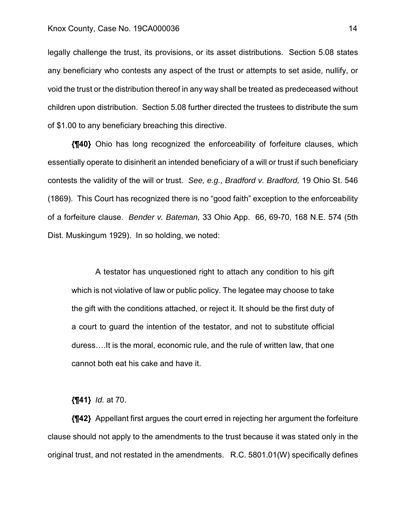legally challenge the trust, its provisions, or its asset distributions. Section 5.08 states any beneficiary who contests any aspect of the trust or attempts to set aside, nullify, or void the trust or the distribution thereof in any way shall be treated as predeceased without children upon distribution. Section 5.08 further directed the trustees to distribute the sum of \$1.00 to any beneficiary breaching this directive.

**{¶40}** Ohio has long recognized the enforceability of forfeiture clauses, which essentially operate to disinherit an intended beneficiary of a will or trust if such beneficiary contests the validity of the will or trust. *See, e.g., Bradford v. Bradford,* 19 Ohio St. 546 (1869). This Court has recognized there is no "good faith" exception to the enforceability of a forfeiture clause. *Bender v. Bateman,* 33 Ohio App. 66, 69-70, 168 N.E. 574 (5th Dist. Muskingum 1929). In so holding, we noted:

 A testator has unquestioned right to attach any condition to his gift which is not violative of law or public policy. The legatee may choose to take the gift with the conditions attached, or reject it. It should be the first duty of a court to guard the intention of the testator, and not to substitute official duress….It is the moral, economic rule, and the rule of written law, that one cannot both eat his cake and have it.

**{¶41}** *Id.* at 70.

**{¶42}** Appellant first argues the court erred in rejecting her argument the forfeiture clause should not apply to the amendments to the trust because it was stated only in the original trust, and not restated in the amendments. R.C. 5801.01(W) specifically defines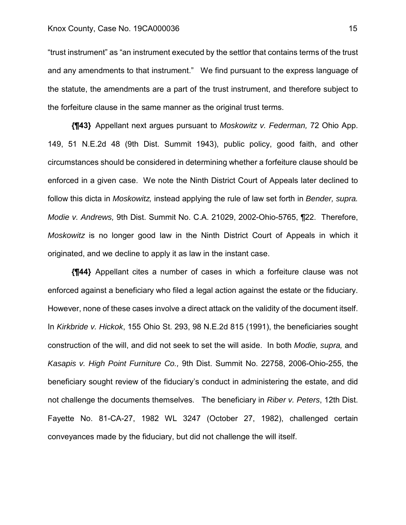#### Knox County, Case No. 19CA000036 15

"trust instrument" as "an instrument executed by the settlor that contains terms of the trust and any amendments to that instrument." We find pursuant to the express language of the statute, the amendments are a part of the trust instrument, and therefore subject to the forfeiture clause in the same manner as the original trust terms.

**{¶43}** Appellant next argues pursuant to *Moskowitz v. Federman,* 72 Ohio App. 149, 51 N.E.2d 48 (9th Dist. Summit 1943), public policy, good faith, and other circumstances should be considered in determining whether a forfeiture clause should be enforced in a given case. We note the Ninth District Court of Appeals later declined to follow this dicta in *Moskowitz,* instead applying the rule of law set forth in *Bender, supra. Modie v. Andrews,* 9th Dist. Summit No. C.A. 21029, 2002-Ohio-5765, ¶22. Therefore, *Moskowitz* is no longer good law in the Ninth District Court of Appeals in which it originated, and we decline to apply it as law in the instant case.

**{¶44}** Appellant cites a number of cases in which a forfeiture clause was not enforced against a beneficiary who filed a legal action against the estate or the fiduciary. However, none of these cases involve a direct attack on the validity of the document itself. In *Kirkbride v. Hickok*, 155 Ohio St. 293, 98 N.E.2d 815 (1991), the beneficiaries sought construction of the will, and did not seek to set the will aside. In both *Modie, supra,* and *Kasapis v. High Point Furniture Co.,* 9th Dist. Summit No. 22758, 2006-Ohio-255, the beneficiary sought review of the fiduciary's conduct in administering the estate, and did not challenge the documents themselves. The beneficiary in *Riber v. Peters*, 12th Dist. Fayette No. 81-CA-27, 1982 WL 3247 (October 27, 1982), challenged certain conveyances made by the fiduciary, but did not challenge the will itself.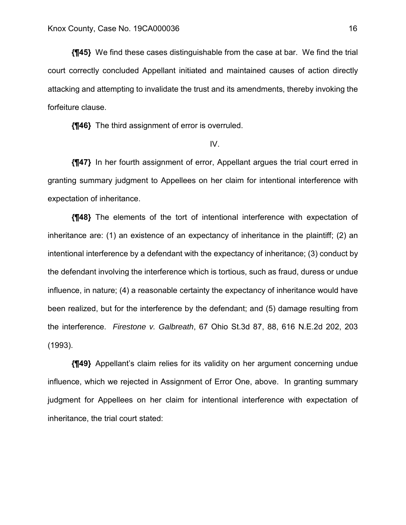**{¶45}** We find these cases distinguishable from the case at bar. We find the trial court correctly concluded Appellant initiated and maintained causes of action directly attacking and attempting to invalidate the trust and its amendments, thereby invoking the forfeiture clause.

**{¶46}** The third assignment of error is overruled.

### IV.

**{¶47}** In her fourth assignment of error, Appellant argues the trial court erred in granting summary judgment to Appellees on her claim for intentional interference with expectation of inheritance.

**{¶48}** The elements of the tort of intentional interference with expectation of inheritance are: (1) an existence of an expectancy of inheritance in the plaintiff; (2) an intentional interference by a defendant with the expectancy of inheritance; (3) conduct by the defendant involving the interference which is tortious, such as fraud, duress or undue influence, in nature; (4) a reasonable certainty the expectancy of inheritance would have been realized, but for the interference by the defendant; and (5) damage resulting from the interference. *Firestone v. Galbreath*, 67 Ohio St.3d 87, 88, 616 N.E.2d 202, 203 (1993).

**{¶49}** Appellant's claim relies for its validity on her argument concerning undue influence, which we rejected in Assignment of Error One, above. In granting summary judgment for Appellees on her claim for intentional interference with expectation of inheritance, the trial court stated: